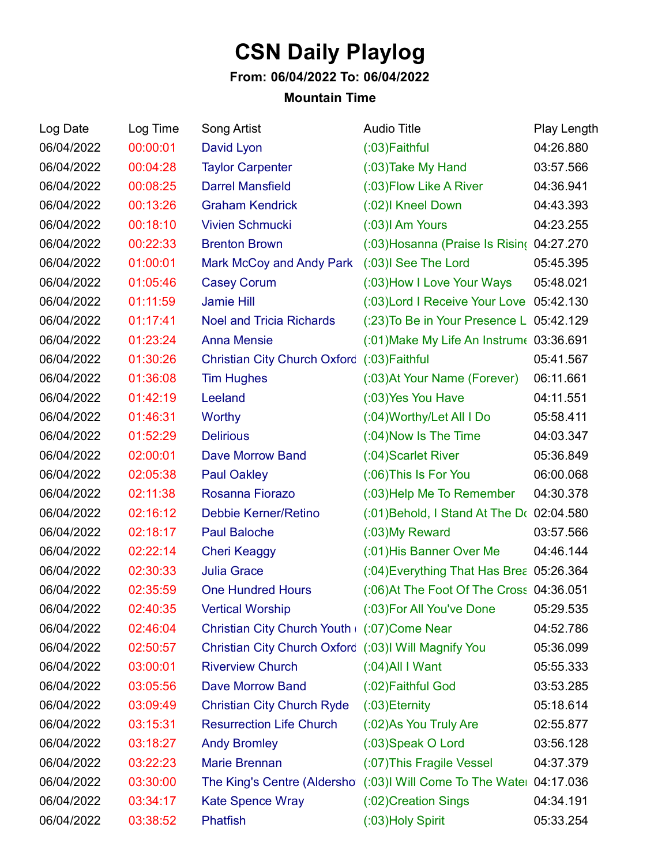## **CSN Daily Playlog**

## **From: 06/04/2022 To: 06/04/2022**

## **Mountain Time**

| Log Date   | Log Time | Song Artist                                          | <b>Audio Title</b>                                                  | Play Length |
|------------|----------|------------------------------------------------------|---------------------------------------------------------------------|-------------|
| 06/04/2022 | 00:00:01 | David Lyon                                           | (:03) Faithful                                                      | 04:26.880   |
| 06/04/2022 | 00:04:28 | <b>Taylor Carpenter</b>                              | (:03) Take My Hand                                                  | 03:57.566   |
| 06/04/2022 | 00:08:25 | <b>Darrel Mansfield</b>                              | (:03) Flow Like A River                                             | 04:36.941   |
| 06/04/2022 | 00:13:26 | <b>Graham Kendrick</b>                               | (:02) Kneel Down                                                    | 04:43.393   |
| 06/04/2022 | 00:18:10 | <b>Vivien Schmucki</b>                               | (:03)I Am Yours                                                     | 04:23.255   |
| 06/04/2022 | 00:22:33 | <b>Brenton Brown</b>                                 | (:03) Hosanna (Praise Is Risin( 04:27.270                           |             |
| 06/04/2022 | 01:00:01 | Mark McCoy and Andy Park                             | (:03)I See The Lord                                                 | 05:45.395   |
| 06/04/2022 | 01:05:46 | <b>Casey Corum</b>                                   | (:03) How I Love Your Ways                                          | 05:48.021   |
| 06/04/2022 | 01:11:59 | <b>Jamie Hill</b>                                    | (:03) Lord I Receive Your Love 05:42.130                            |             |
| 06/04/2022 | 01:17:41 | <b>Noel and Tricia Richards</b>                      | (:23) To Be in Your Presence L 05:42.129                            |             |
| 06/04/2022 | 01:23:24 | <b>Anna Mensie</b>                                   | (:01) Make My Life An Instrum (03:36.691                            |             |
| 06/04/2022 | 01:30:26 | <b>Christian City Church Oxford</b>                  | $(03)$ Faithful                                                     | 05:41.567   |
| 06/04/2022 | 01:36:08 | <b>Tim Hughes</b>                                    | (:03) At Your Name (Forever)                                        | 06:11.661   |
| 06/04/2022 | 01:42:19 | Leeland                                              | (:03) Yes You Have                                                  | 04:11.551   |
| 06/04/2022 | 01:46:31 | Worthy                                               | (:04) Worthy/Let All I Do                                           | 05:58.411   |
| 06/04/2022 | 01:52:29 | <b>Delirious</b>                                     | (:04) Now Is The Time                                               | 04:03.347   |
| 06/04/2022 | 02:00:01 | <b>Dave Morrow Band</b>                              | (:04) Scarlet River                                                 | 05:36.849   |
| 06/04/2022 | 02:05:38 | <b>Paul Oakley</b>                                   | (:06) This Is For You                                               | 06:00.068   |
| 06/04/2022 | 02:11:38 | Rosanna Fiorazo                                      | (:03) Help Me To Remember                                           | 04:30.378   |
| 06/04/2022 | 02:16:12 | Debbie Kerner/Retino                                 | (:01) Behold, I Stand At The D( 02:04.580                           |             |
| 06/04/2022 | 02:18:17 | <b>Paul Baloche</b>                                  | $(0.03)$ My Reward                                                  | 03:57.566   |
| 06/04/2022 | 02:22:14 | <b>Cheri Keaggy</b>                                  | (:01) His Banner Over Me                                            | 04:46.144   |
| 06/04/2022 | 02:30:33 | <b>Julia Grace</b>                                   | (:04) Everything That Has Brea 05:26.364                            |             |
| 06/04/2022 | 02:35:59 | <b>One Hundred Hours</b>                             | (:06) At The Foot Of The Cross 04:36.051                            |             |
| 06/04/2022 | 02:40:35 | <b>Vertical Worship</b>                              | (:03) For All You've Done                                           | 05:29.535   |
| 06/04/2022 | 02:46:04 | Christian City Church Youth (:07) Come Near          |                                                                     | 04:52.786   |
| 06/04/2022 | 02:50:57 | Christian City Church Oxford (:03)I Will Magnify You |                                                                     | 05:36.099   |
| 06/04/2022 | 03:00:01 | <b>Riverview Church</b>                              | $(0.04)$ All I Want                                                 | 05:55.333   |
| 06/04/2022 | 03:05:56 | Dave Morrow Band                                     | (:02) Faithful God                                                  | 03:53.285   |
| 06/04/2022 | 03:09:49 | <b>Christian City Church Ryde</b>                    | (:03) Eternity                                                      | 05:18.614   |
| 06/04/2022 | 03:15:31 | <b>Resurrection Life Church</b>                      | (:02) As You Truly Are                                              | 02:55.877   |
| 06/04/2022 | 03:18:27 | <b>Andy Bromley</b>                                  | (:03)Speak O Lord                                                   | 03:56.128   |
| 06/04/2022 | 03:22:23 | <b>Marie Brennan</b>                                 | (:07) This Fragile Vessel                                           | 04:37.379   |
| 06/04/2022 | 03:30:00 |                                                      | The King's Centre (Aldersho (:03)I Will Come To The Watel 04:17.036 |             |
| 06/04/2022 | 03:34:17 | <b>Kate Spence Wray</b>                              | (:02) Creation Sings                                                | 04:34.191   |
| 06/04/2022 | 03:38:52 | <b>Phatfish</b>                                      | (:03) Holy Spirit                                                   | 05:33.254   |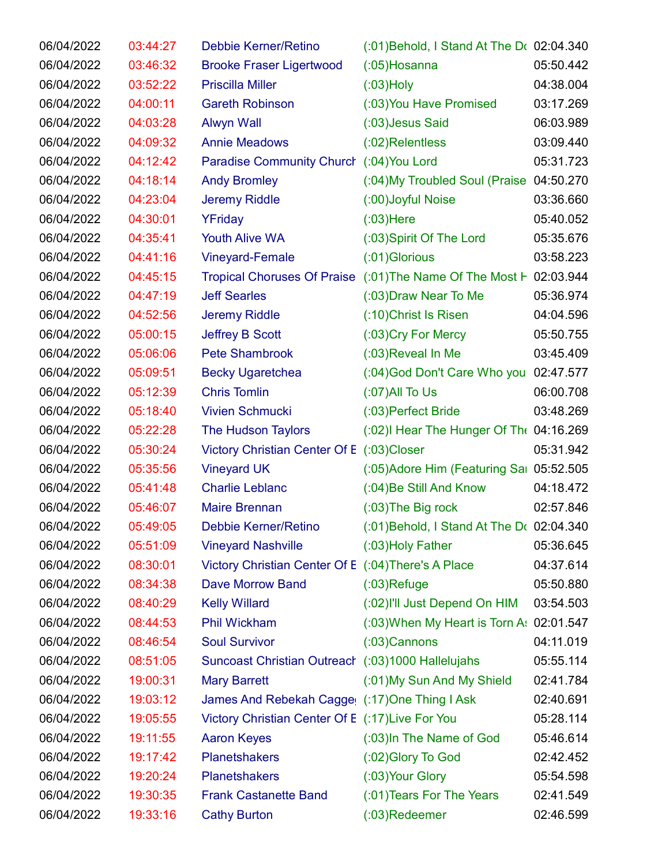| 06/04/2022 | 03:44:27 | Debbie Kerner/Retino                                | (:01) Behold, I Stand At The D( 02:04.340                          |           |
|------------|----------|-----------------------------------------------------|--------------------------------------------------------------------|-----------|
| 06/04/2022 | 03:46:32 | <b>Brooke Fraser Ligertwood</b>                     | $(0.05)$ Hosanna                                                   | 05:50.442 |
| 06/04/2022 | 03:52:22 | <b>Priscilla Miller</b>                             | $(03)$ Holy                                                        | 04:38.004 |
| 06/04/2022 | 04:00:11 | <b>Gareth Robinson</b>                              | (:03) You Have Promised                                            | 03:17.269 |
| 06/04/2022 | 04:03:28 | <b>Alwyn Wall</b>                                   | (:03) Jesus Said                                                   | 06:03.989 |
| 06/04/2022 | 04:09:32 | <b>Annie Meadows</b>                                | $(02)$ Relentless                                                  | 03:09.440 |
| 06/04/2022 | 04:12:42 | <b>Paradise Community Church</b>                    | (:04) You Lord                                                     | 05:31.723 |
| 06/04/2022 | 04:18:14 | <b>Andy Bromley</b>                                 | (:04) My Troubled Soul (Praise 04:50.270                           |           |
| 06/04/2022 | 04:23:04 | <b>Jeremy Riddle</b>                                | (:00) Joyful Noise                                                 | 03:36.660 |
| 06/04/2022 | 04:30:01 | YFriday                                             | $(0.03)$ Here                                                      | 05:40.052 |
| 06/04/2022 | 04:35:41 | <b>Youth Alive WA</b>                               | (:03) Spirit Of The Lord                                           | 05:35.676 |
| 06/04/2022 | 04:41:16 | <b>Vineyard-Female</b>                              | (:01) Glorious                                                     | 03:58.223 |
| 06/04/2022 | 04:45:15 |                                                     | Tropical Choruses Of Praise (:01) The Name Of The Most F 02:03.944 |           |
| 06/04/2022 | 04:47:19 | <b>Jeff Searles</b>                                 | (:03) Draw Near To Me                                              | 05:36.974 |
| 06/04/2022 | 04:52:56 | Jeremy Riddle                                       | (:10) Christ Is Risen                                              | 04:04.596 |
| 06/04/2022 | 05:00:15 | Jeffrey B Scott                                     | (:03) Cry For Mercy                                                | 05:50.755 |
| 06/04/2022 | 05:06:06 | <b>Pete Shambrook</b>                               | (:03) Reveal In Me                                                 | 03:45.409 |
| 06/04/2022 | 05:09:51 | <b>Becky Ugaretchea</b>                             | (:04) God Don't Care Who you 02:47.577                             |           |
| 06/04/2022 | 05:12:39 | <b>Chris Tomlin</b>                                 | $(07)$ All To Us                                                   | 06:00.708 |
| 06/04/2022 | 05:18:40 | <b>Vivien Schmucki</b>                              | (:03) Perfect Bride                                                | 03:48.269 |
| 06/04/2022 | 05:22:28 | The Hudson Taylors                                  | (:02) Hear The Hunger Of The 04:16.269                             |           |
| 06/04/2022 | 05:30:24 | <b>Victory Christian Center Of E</b>                | $(03)$ Closer                                                      | 05:31.942 |
| 06/04/2022 | 05:35:56 | <b>Vineyard UK</b>                                  | (:05) Adore Him (Featuring Sai 05:52.505                           |           |
| 06/04/2022 | 05:41:48 | <b>Charlie Leblanc</b>                              | (:04) Be Still And Know                                            | 04:18.472 |
| 06/04/2022 | 05:46:07 | <b>Maire Brennan</b>                                | $(0.03)$ The Big rock                                              | 02:57.846 |
| 06/04/2022 | 05:49:05 | Debbie Kerner/Retino                                | $(0.01)$ Behold, I Stand At The D $(0.02)$ .04.340                 |           |
| 06/04/2022 | 05:51:09 | <b>Vineyard Nashville</b>                           | $(03)$ Holy Father                                                 | 05:36.645 |
| 06/04/2022 | 08:30:01 | Victory Christian Center Of E (:04) There's A Place |                                                                    | 04:37.614 |
| 06/04/2022 | 08:34:38 | <b>Dave Morrow Band</b>                             | $(03)$ Refuge                                                      | 05:50.880 |
| 06/04/2022 | 08:40:29 | <b>Kelly Willard</b>                                | (:02) I'll Just Depend On HIM                                      | 03:54.503 |
| 06/04/2022 | 08:44:53 | <b>Phil Wickham</b>                                 | (:03) When My Heart is Torn A: 02:01.547                           |           |
| 06/04/2022 | 08:46:54 | <b>Soul Survivor</b>                                | $(03)$ Cannons                                                     | 04:11.019 |
| 06/04/2022 | 08:51:05 | Suncoast Christian Outreach (:03)1000 Hallelujahs   |                                                                    | 05:55.114 |
| 06/04/2022 | 19:00:31 | <b>Mary Barrett</b>                                 | (:01) My Sun And My Shield                                         | 02:41.784 |
| 06/04/2022 | 19:03:12 | James And Rebekah Cagge (: 17) One Thing I Ask      |                                                                    | 02:40.691 |
| 06/04/2022 | 19:05:55 | Victory Christian Center Of E (:17) Live For You    |                                                                    | 05:28.114 |
| 06/04/2022 | 19:11:55 | <b>Aaron Keyes</b>                                  | (:03) In The Name of God                                           | 05:46.614 |
| 06/04/2022 | 19:17:42 | <b>Planetshakers</b>                                | (:02) Glory To God                                                 | 02:42.452 |
| 06/04/2022 | 19:20:24 | <b>Planetshakers</b>                                | (:03) Your Glory                                                   | 05:54.598 |
| 06/04/2022 | 19:30:35 | <b>Frank Castanette Band</b>                        | (:01) Tears For The Years                                          | 02:41.549 |
| 06/04/2022 | 19:33:16 | <b>Cathy Burton</b>                                 | $(0.03)$ Redeemer                                                  | 02:46.599 |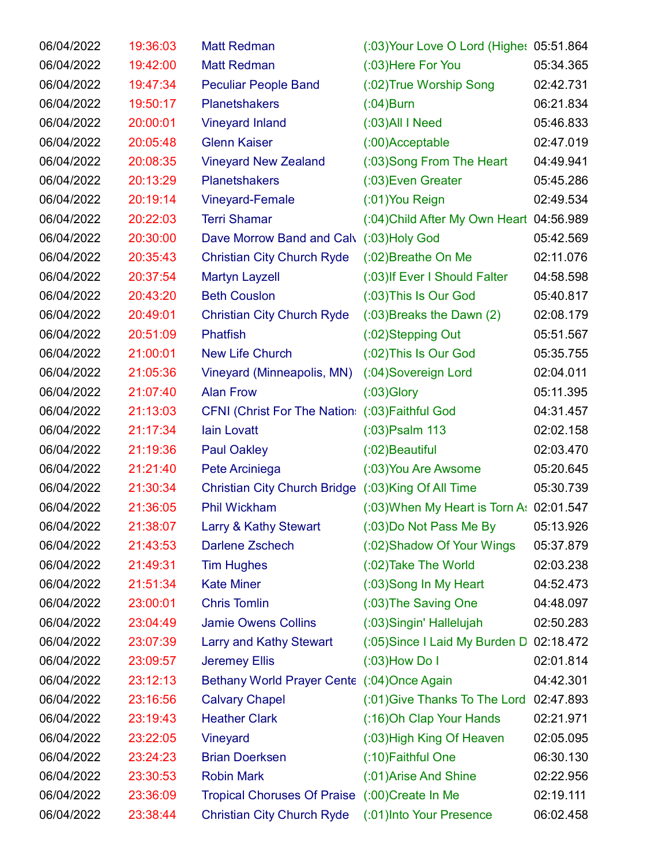| 06/04/2022 | 19:36:03 | <b>Matt Redman</b>                                 | (:03) Your Love O Lord (Highe: 05:51.864    |           |
|------------|----------|----------------------------------------------------|---------------------------------------------|-----------|
| 06/04/2022 | 19:42:00 | <b>Matt Redman</b>                                 | (:03) Here For You                          | 05:34.365 |
| 06/04/2022 | 19:47:34 | <b>Peculiar People Band</b>                        | (:02) True Worship Song                     | 02:42.731 |
| 06/04/2022 | 19:50:17 | <b>Planetshakers</b>                               | $(0.04)$ Burn                               | 06:21.834 |
| 06/04/2022 | 20:00:01 | <b>Vineyard Inland</b>                             | $(0.03)$ All I Need                         | 05:46.833 |
| 06/04/2022 | 20:05:48 | <b>Glenn Kaiser</b>                                | $(0.00)$ Acceptable                         | 02:47.019 |
| 06/04/2022 | 20:08:35 | <b>Vineyard New Zealand</b>                        | (:03) Song From The Heart                   | 04:49.941 |
| 06/04/2022 | 20:13:29 | <b>Planetshakers</b>                               | (:03) Even Greater                          | 05:45.286 |
| 06/04/2022 | 20:19:14 | <b>Vineyard-Female</b>                             | $(01)$ You Reign                            | 02:49.534 |
| 06/04/2022 | 20:22:03 | <b>Terri Shamar</b>                                | $(0.04)$ Child After My Own Heart 04:56.989 |           |
| 06/04/2022 | 20:30:00 | Dave Morrow Band and Calv                          | $(03)$ Holy God                             | 05:42.569 |
| 06/04/2022 | 20:35:43 | <b>Christian City Church Ryde</b>                  | (:02) Breathe On Me                         | 02:11.076 |
| 06/04/2022 | 20:37:54 | <b>Martyn Layzell</b>                              | (:03) If Ever I Should Falter               | 04:58.598 |
| 06/04/2022 | 20:43:20 | <b>Beth Couslon</b>                                | (:03) This Is Our God                       | 05:40.817 |
| 06/04/2022 | 20:49:01 | <b>Christian City Church Ryde</b>                  | $(0.03)$ Breaks the Dawn $(2)$              | 02:08.179 |
| 06/04/2022 | 20:51:09 | <b>Phatfish</b>                                    | (:02)Stepping Out                           | 05:51.567 |
| 06/04/2022 | 21:00:01 | <b>New Life Church</b>                             | (:02) This Is Our God                       | 05:35.755 |
| 06/04/2022 | 21:05:36 | Vineyard (Minneapolis, MN)                         | (:04) Sovereign Lord                        | 02:04.011 |
| 06/04/2022 | 21:07:40 | <b>Alan Frow</b>                                   | $(03)$ Glory                                | 05:11.395 |
| 06/04/2022 | 21:13:03 | CFNI (Christ For The Nation: (:03) Faithful God    |                                             | 04:31.457 |
| 06/04/2022 | 21:17:34 | <b>lain Lovatt</b>                                 | $(03)$ Psalm 113                            | 02:02.158 |
| 06/04/2022 | 21:19:36 | <b>Paul Oakley</b>                                 | (:02) Beautiful                             | 02:03.470 |
| 06/04/2022 | 21:21:40 | Pete Arciniega                                     | (:03) You Are Awsome                        | 05:20.645 |
| 06/04/2022 | 21:30:34 | Christian City Church Bridge (:03)King Of All Time |                                             | 05:30.739 |
| 06/04/2022 | 21:36:05 | Phil Wickham                                       | $(0.03)$ When My Heart is Torn A: 02:01.547 |           |
| 06/04/2022 | 21:38:07 | Larry & Kathy Stewart                              | (:03) Do Not Pass Me By                     | 05:13.926 |
| 06/04/2022 | 21:43:53 | Darlene Zschech                                    | (:02) Shadow Of Your Wings                  | 05:37.879 |
| 06/04/2022 | 21:49:31 | <b>Tim Hughes</b>                                  | (:02) Take The World                        | 02:03.238 |
| 06/04/2022 | 21:51:34 | <b>Kate Miner</b>                                  | (:03)Song In My Heart                       | 04:52.473 |
| 06/04/2022 | 23:00:01 | <b>Chris Tomlin</b>                                | (:03) The Saving One                        | 04:48.097 |
| 06/04/2022 | 23:04:49 | <b>Jamie Owens Collins</b>                         | (:03) Singin' Hallelujah                    | 02:50.283 |
| 06/04/2022 | 23:07:39 | Larry and Kathy Stewart                            | (:05) Since I Laid My Burden D 02:18.472    |           |
| 06/04/2022 | 23:09:57 | <b>Jeremey Ellis</b>                               | $(0.03)$ How Do I                           | 02:01.814 |
| 06/04/2022 | 23:12:13 | Bethany World Prayer Cente (:04) Once Again        |                                             | 04:42.301 |
| 06/04/2022 | 23:16:56 | <b>Calvary Chapel</b>                              | (:01) Give Thanks To The Lord               | 02:47.893 |
| 06/04/2022 | 23:19:43 | <b>Heather Clark</b>                               | (:16) Oh Clap Your Hands                    | 02:21.971 |
| 06/04/2022 | 23:22:05 | Vineyard                                           | (:03) High King Of Heaven                   | 02:05.095 |
| 06/04/2022 | 23:24:23 | <b>Brian Doerksen</b>                              | (:10) Faithful One                          | 06:30.130 |
| 06/04/2022 | 23:30:53 | <b>Robin Mark</b>                                  | (:01) Arise And Shine                       | 02:22.956 |
| 06/04/2022 | 23:36:09 | <b>Tropical Choruses Of Praise</b>                 | $(0.00)$ Create In Me                       | 02:19.111 |
| 06/04/2022 | 23:38:44 | <b>Christian City Church Ryde</b>                  | (:01) Into Your Presence                    | 06:02.458 |